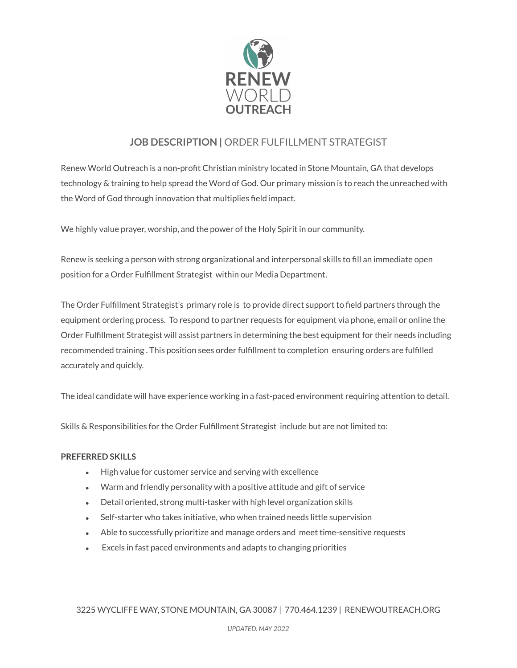

## **JOB DESCRIPTION |** ORDER FULFILLMENT STRATEGIST

Renew World Outreach is a non-profit Christian ministry located in Stone Mountain, GA that develops technology & training to help spread the Word of God. Our primary mission is to reach the unreached with the Word of God through innovation that multiplies field impact.

We highly value prayer, worship, and the power of the Holy Spirit in our community.

Renew is seeking a person with strong organizational and interpersonal skills to fill an immediate open position for a Order Fulfillment Strategist within our Media Department.

The Order Fulfillment Strategist's primary role is to provide direct support to field partners through the equipment ordering process. To respond to partner requests for equipment via phone, email or online the Order Fulfillment Strategist will assist partners in determining the best equipment for their needs including recommended training . This position sees order fulfillment to completion ensuring orders are fulfilled accurately and quickly.

The ideal candidate will have experience working in a fast-paced environment requiring attention to detail.

Skills & Responsibilities for the Order Fulfillment Strategist include but are not limited to:

## **PREFERRED SKILLS**

- High value for customer service and serving with excellence
- Warm and friendly personality with a positive attitude and gift of service
- Detail oriented, strong multi-tasker with high level organization skills
- Self-starter who takes initiative, who when trained needs little supervision
- Able to successfully prioritize and manage orders and meet time-sensitive requests
- Excels in fast paced environments and adapts to changing priorities